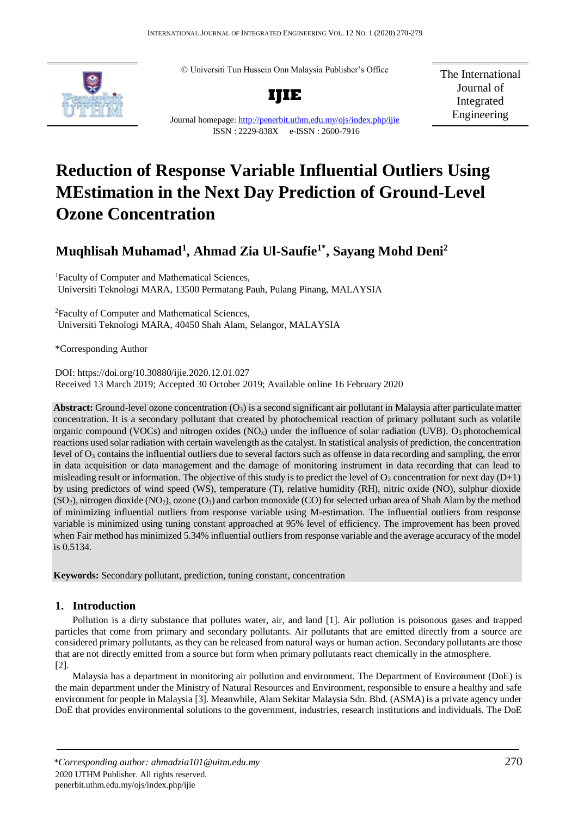© Universiti Tun Hussein Onn Malaysia Publisher's Office



**IJIE**

The International Journal of Integrated Engineering

Journal homepage:<http://penerbit.uthm.edu.my/ojs/index.php/ijie> ISSN : 2229-838X e-ISSN : 2600-7916

# **Reduction of Response Variable Influential Outliers Using MEstimation in the Next Day Prediction of Ground-Level Ozone Concentration**

## **Muqhlisah Muhamad<sup>1</sup> , Ahmad Zia Ul-Saufie1\*, Sayang Mohd Deni<sup>2</sup>**

<sup>1</sup>Faculty of Computer and Mathematical Sciences, Universiti Teknologi MARA, 13500 Permatang Pauh, Pulang Pinang, MALAYSIA

<sup>2</sup>Faculty of Computer and Mathematical Sciences, Universiti Teknologi MARA, 40450 Shah Alam, Selangor, MALAYSIA

\*Corresponding Author

DOI: https://doi.org/10.30880/ijie.2020.12.01.027 Received 13 March 2019; Accepted 30 October 2019; Available online 16 February 2020

**Abstract:** Ground-level ozone concentration  $(O_3)$  is a second significant air pollutant in Malaysia after particulate matter concentration. It is a secondary pollutant that created by photochemical reaction of primary pollutant such as volatile organic compound (VOCs) and nitrogen oxides ( $NO<sub>x</sub>$ ) under the influence of solar radiation (UVB).  $O<sub>3</sub>$  photochemical reactions used solar radiation with certain wavelength as the catalyst. In statistical analysis of prediction, the concentration level of O<sup>3</sup> contains the influential outliers due to several factors such as offense in data recording and sampling, the error in data acquisition or data management and the damage of monitoring instrument in data recording that can lead to misleading result or information. The objective of this study is to predict the level of  $O_3$  concentration for next day  $(D+1)$ by using predictors of wind speed (WS), temperature (T), relative humidity (RH), nitric oxide (NO), sulphur dioxide  $(SO<sub>2</sub>)$ , nitrogen dioxide  $(NO<sub>2</sub>)$ , ozone  $(O<sub>3</sub>)$  and carbon monoxide (CO) for selected urban area of Shah Alam by the method of minimizing influential outliers from response variable using M-estimation. The influential outliers from response variable is minimized using tuning constant approached at 95% level of efficiency. The improvement has been proved when Fair method has minimized 5.34% influential outliers from response variable and the average accuracy of the model is 0.5134.

**Keywords:** Secondary pollutant, prediction, tuning constant, concentration

### **1. Introduction**

Pollution is a dirty substance that pollutes water, air, and land [1]. Air pollution is poisonous gases and trapped particles that come from primary and secondary pollutants. Air pollutants that are emitted directly from a source are considered primary pollutants, as they can be released from natural ways or human action. Secondary pollutants are those that are not directly emitted from a source but form when primary pollutants react chemically in the atmosphere.  $|2|$ .

Malaysia has a department in monitoring air pollution and environment. The Department of Environment (DoE) is the main department under the Ministry of Natural Resources and Environment, responsible to ensure a healthy and safe environment for people in Malaysia [3]. Meanwhile, Alam Sekitar Malaysia Sdn. Bhd. (ASMA) is a private agency under DoE that provides environmental solutions to the government, industries, research institutions and individuals. The DoE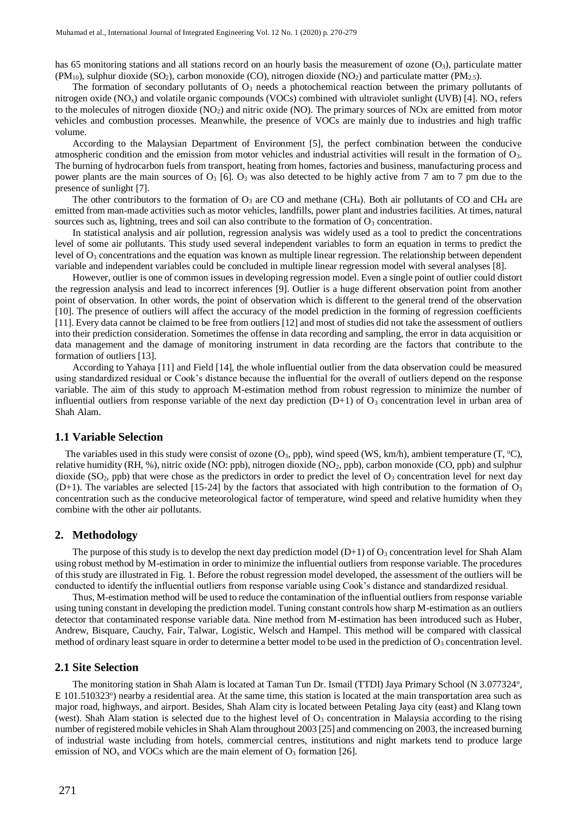has 65 monitoring stations and all stations record on an hourly basis the measurement of ozone  $(O_3)$ , particulate matter  $(PM_{10})$ , sulphur dioxide  $(SO_2)$ , carbon monoxide  $(CO)$ , nitrogen dioxide  $(NO_2)$  and particulate matter  $(PM_{2.5})$ .

The formation of secondary pollutants of  $O_3$  needs a photochemical reaction between the primary pollutants of nitrogen oxide (NO<sub>x</sub>) and volatile organic compounds (VOCs) combined with ultraviolet sunlight (UVB) [4]. NO<sub>x</sub> refers to the molecules of nitrogen dioxide  $(NO<sub>2</sub>)$  and nitric oxide  $(NO)$ . The primary sources of NOx are emitted from motor vehicles and combustion processes. Meanwhile, the presence of VOCs are mainly due to industries and high traffic volume.

According to the Malaysian Department of Environment [5], the perfect combination between the conducive atmospheric condition and the emission from motor vehicles and industrial activities will result in the formation of  $O_3$ . The burning of hydrocarbon fuels from transport, heating from homes, factories and business, manufacturing process and power plants are the main sources of  $O_3$  [6].  $O_3$  was also detected to be highly active from 7 am to 7 pm due to the presence of sunlight [7].

The other contributors to the formation of  $O_3$  are CO and methane (CH<sub>4</sub>). Both air pollutants of CO and CH<sub>4</sub> are emitted from man-made activities such as motor vehicles, landfills, power plant and industries facilities. At times, natural sources such as, lightning, trees and soil can also contribute to the formation of  $O_3$  concentration.

In statistical analysis and air pollution, regression analysis was widely used as a tool to predict the concentrations level of some air pollutants. This study used several independent variables to form an equation in terms to predict the level of  $O_3$  concentrations and the equation was known as multiple linear regression. The relationship between dependent variable and independent variables could be concluded in multiple linear regression model with several analyses [8].

However, outlier is one of common issues in developing regression model. Even a single point of outlier could distort the regression analysis and lead to incorrect inferences [9]. Outlier is a huge different observation point from another point of observation. In other words, the point of observation which is different to the general trend of the observation [10]. The presence of outliers will affect the accuracy of the model prediction in the forming of regression coefficients [11]. Every data cannot be claimed to be free from outliers [12] and most of studies did not take the assessment of outliers into their prediction consideration. Sometimes the offense in data recording and sampling, the error in data acquisition or data management and the damage of monitoring instrument in data recording are the factors that contribute to the formation of outliers [13].

According to Yahaya [11] and Field [14], the whole influential outlier from the data observation could be measured using standardized residual or Cook's distance because the influential for the overall of outliers depend on the response variable. The aim of this study to approach M-estimation method from robust regression to minimize the number of influential outliers from response variable of the next day prediction  $(D+1)$  of  $O_3$  concentration level in urban area of Shah Alam.

#### **1.1 Variable Selection**

The variables used in this study were consist of ozone  $(O_3, ppb)$ , wind speed (WS, km/h), ambient temperature (T, °C), relative humidity (RH, %), nitric oxide (NO: ppb), nitrogen dioxide (NO2, ppb), carbon monoxide (CO, ppb) and sulphur dioxide (SO<sub>2</sub>, ppb) that were chose as the predictors in order to predict the level of  $O_3$  concentration level for next day  $(D+1)$ . The variables are selected [15-24] by the factors that associated with high contribution to the formation of  $O_3$ concentration such as the conducive meteorological factor of temperature, wind speed and relative humidity when they combine with the other air pollutants.

### **2. Methodology**

The purpose of this study is to develop the next day prediction model (D+1) of  $O_3$  concentration level for Shah Alam using robust method by M-estimation in order to minimize the influential outliers from response variable. The procedures of this study are illustrated in Fig. 1. Before the robust regression model developed, the assessment of the outliers will be conducted to identify the influential outliers from response variable using Cook's distance and standardized residual.

Thus, M-estimation method will be used to reduce the contamination of the influential outliers from response variable using tuning constant in developing the prediction model. Tuning constant controls how sharp M-estimation as an outliers detector that contaminated response variable data. Nine method from M-estimation has been introduced such as Huber, Andrew, Bisquare, Cauchy, Fair, Talwar, Logistic, Welsch and Hampel. This method will be compared with classical method of ordinary least square in order to determine a better model to be used in the prediction of  $O_3$  concentration level.

### **2.1 Site Selection**

The monitoring station in Shah Alam is located at Taman Tun Dr. Ismail (TTDI) Jaya Primary School (N 3.077324°, E 101.510323°) nearby a residential area. At the same time, this station is located at the main transportation area such as major road, highways, and airport. Besides, Shah Alam city is located between Petaling Jaya city (east) and Klang town (west). Shah Alam station is selected due to the highest level of  $O<sub>3</sub>$  concentration in Malaysia according to the rising number of registered mobile vehicles in Shah Alam throughout 2003 [25] and commencing on 2003, the increased burning of industrial waste including from hotels, commercial centres, institutions and night markets tend to produce large emission of  $NO<sub>x</sub>$  and VOCs which are the main element of  $O<sub>3</sub>$  formation [26].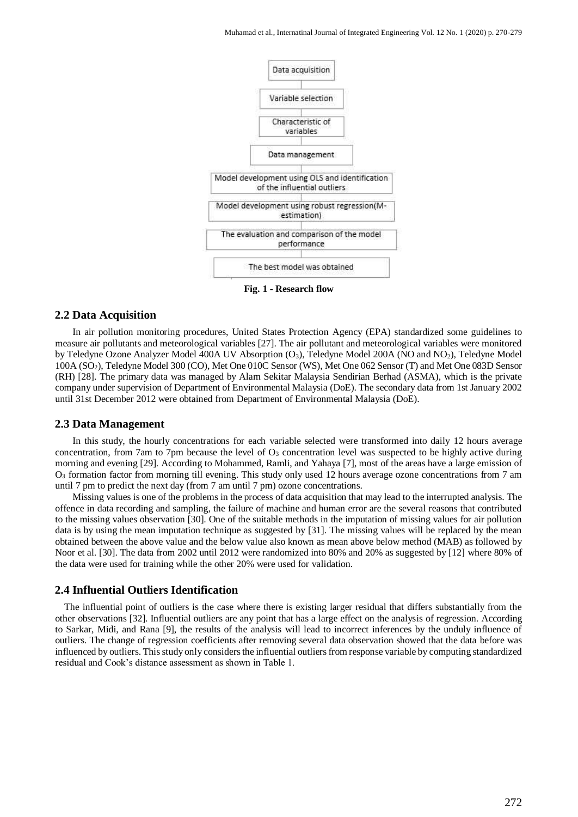

**Fig. 1 - Research flow**

### **2.2 Data Acquisition**

In air pollution monitoring procedures, United States Protection Agency (EPA) standardized some guidelines to measure air pollutants and meteorological variables [27]. The air pollutant and meteorological variables were monitored by Teledyne Ozone Analyzer Model 400A UV Absorption (O<sub>3</sub>), Teledyne Model 200A (NO and NO<sub>2</sub>), Teledyne Model 100A (SO2), Teledyne Model 300 (CO), Met One 010C Sensor (WS), Met One 062 Sensor (T) and Met One 083D Sensor (RH) [28]. The primary data was managed by Alam Sekitar Malaysia Sendirian Berhad (ASMA), which is the private company under supervision of Department of Environmental Malaysia (DoE). The secondary data from 1st January 2002 until 31st December 2012 were obtained from Department of Environmental Malaysia (DoE).

### **2.3 Data Management**

In this study, the hourly concentrations for each variable selected were transformed into daily 12 hours average concentration, from 7am to 7pm because the level of  $O<sub>3</sub>$  concentration level was suspected to be highly active during morning and evening [29]. According to Mohammed, Ramli, and Yahaya [7], most of the areas have a large emission of O<sup>3</sup> formation factor from morning till evening. This study only used 12 hours average ozone concentrations from 7 am until 7 pm to predict the next day (from 7 am until 7 pm) ozone concentrations.

Missing values is one of the problems in the process of data acquisition that may lead to the interrupted analysis. The offence in data recording and sampling, the failure of machine and human error are the several reasons that contributed to the missing values observation [30]. One of the suitable methods in the imputation of missing values for air pollution data is by using the mean imputation technique as suggested by [31]. The missing values will be replaced by the mean obtained between the above value and the below value also known as mean above below method (MAB) as followed by Noor et al. [30]. The data from 2002 until 2012 were randomized into 80% and 20% as suggested by [12] where 80% of the data were used for training while the other 20% were used for validation.

### **2.4 Influential Outliers Identification**

The influential point of outliers is the case where there is existing larger residual that differs substantially from the other observations [32]. Influential outliers are any point that has a large effect on the analysis of regression. According to Sarkar, Midi, and Rana [9], the results of the analysis will lead to incorrect inferences by the unduly influence of outliers. The change of regression coefficients after removing several data observation showed that the data before was influenced by outliers. This study only considers the influential outliers from response variable by computing standardized residual and Cook's distance assessment as shown in Table 1.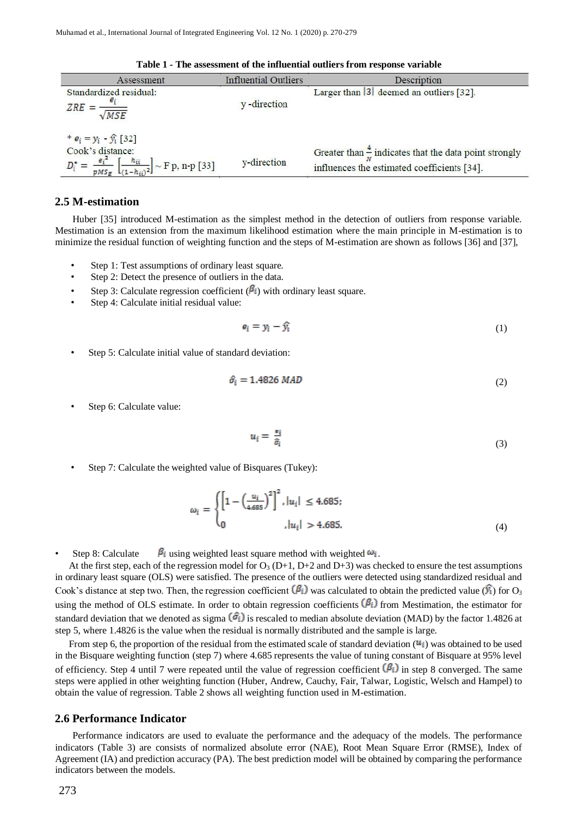| Assessment                                                                                                                                       | <b>Influential Outliers</b> | Description                                                                                                      |
|--------------------------------------------------------------------------------------------------------------------------------------------------|-----------------------------|------------------------------------------------------------------------------------------------------------------|
| Standardized residual:<br>$ZRE =$<br>MSE                                                                                                         | y -direction                | Larger than $ 3 $ deemed an outliers [32].                                                                       |
| * $e_i = y_i - \hat{y}_i [32]$<br>Cook's distance:<br>$\frac{\epsilon_i^*}{pMS_E}$ $\left[\frac{h_{ii}}{(1-h_{ii})^2}\right] \sim F$ p, n-p [33] | y-direction                 | Greater than $\frac{4}{3}$ indicates that the data point strongly<br>influences the estimated coefficients [34]. |

**Table 1 - The assessment of the influential outliers from response variable**

### **2.5 M-estimation**

Huber [35] introduced M-estimation as the simplest method in the detection of outliers from response variable. Mestimation is an extension from the maximum likelihood estimation where the main principle in M-estimation is to minimize the residual function of weighting function and the steps of M-estimation are shown as follows [36] and [37],

- Step 1: Test assumptions of ordinary least square.
- Step 2: Detect the presence of outliers in the data.
- Step 3: Calculate regression coefficient  $(\beta_i)$  with ordinary least square.
- Step 4: Calculate initial residual value:

$$
e_i = y_i - \widehat{y_i} \tag{1}
$$

Step 5: Calculate initial value of standard deviation:

$$
\hat{\sigma}_i = 1.4826 \text{ MAD} \tag{2}
$$

Step 6: Calculate value:

$$
u_i = \frac{\epsilon_i}{\hat{\sigma}_i} \tag{3}
$$

• Step 7: Calculate the weighted value of Bisquares (Tukey):

$$
\omega_i = \begin{cases} \left[1 - \left(\frac{u_i}{4.685}\right)^2\right]^2, |u_i| \le 4.685; \\ 0, |u_i| > 4.685. \end{cases}
$$
(4)

Step 8: Calculate  $\beta_i$  using weighted least square method with weighted  $\omega_i$ .

At the first step, each of the regression model for  $O_3$  (D+1, D+2 and D+3) was checked to ensure the test assumptions in ordinary least square (OLS) were satisfied. The presence of the outliers were detected using standardized residual and Cook's distance at step two. Then, the regression coefficient  $(\beta_i)$  was calculated to obtain the predicted value  $(\hat{Y}_i)$  for O<sub>3</sub> using the method of OLS estimate. In order to obtain regression coefficients  $(\beta_i)$  from Mestimation, the estimator for standard deviation that we denoted as sigma  $(\hat{\sigma_i})$  is rescaled to median absolute deviation (MAD) by the factor 1.4826 at step 5, where 1.4826 is the value when the residual is normally distributed and the sample is large.

From step 6, the proportion of the residual from the estimated scale of standard deviation  $( u_i )$  was obtained to be used in the Bisquare weighting function (step 7) where 4.685 represents the value of tuning constant of Bisquare at 95% level of efficiency. Step 4 until 7 were repeated until the value of regression coefficient  $(\beta_i)$  in step 8 converged. The same steps were applied in other weighting function (Huber, Andrew, Cauchy, Fair, Talwar, Logistic, Welsch and Hampel) to obtain the value of regression. Table 2 shows all weighting function used in M-estimation.

#### **2.6 Performance Indicator**

Performance indicators are used to evaluate the performance and the adequacy of the models. The performance indicators (Table 3) are consists of normalized absolute error (NAE), Root Mean Square Error (RMSE), Index of Agreement (IA) and prediction accuracy (PA). The best prediction model will be obtained by comparing the performance indicators between the models.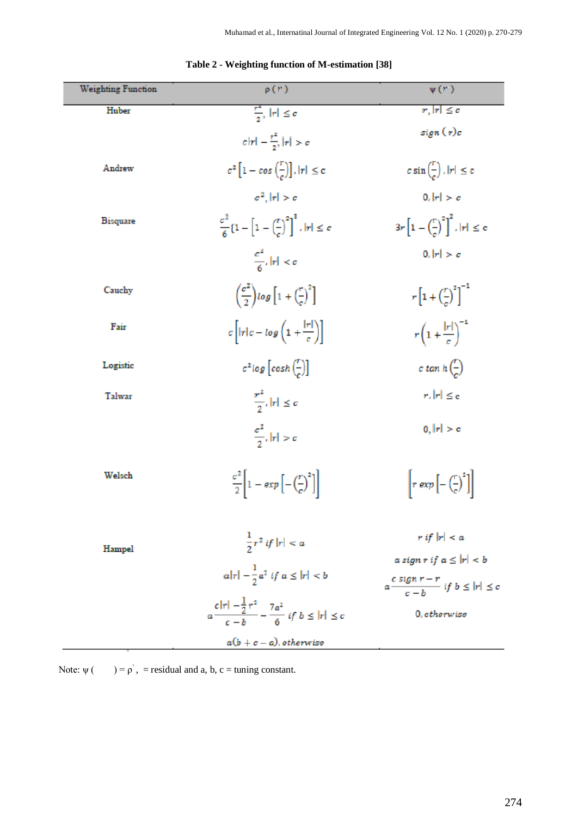| <b>Weighting Function</b> | $\rho(r)$                                                                         | $\psi(r)$                                                             |
|---------------------------|-----------------------------------------------------------------------------------|-----------------------------------------------------------------------|
| Huber                     | $\frac{r^2}{a}$ , $ r  \leq c$                                                    | $ r,  r  \leq c$                                                      |
|                           | $c r  - \frac{r^2}{2}$ , $ r  > c$                                                | sign(r)c                                                              |
| Andrew                    | $c^2\left[1-\cos\left(\frac{r}{c}\right)\right],  r  \leq c$                      | $c \sin \left( \frac{1}{c} \right)$ , $ r  \leq c$                    |
|                           | $c^2$ , $ r  > c$                                                                 | 0,  r  > c                                                            |
| <b>Bisquare</b>           | $\frac{c^2}{6}$ {1 - $\left[1-\left(\frac{r}{c}\right)^2\right]^3$ , $ r  \leq c$ | $3r\left[1-\left(\frac{r}{r}\right)^2\right]^2$ , $ r  \leq c$        |
|                           | $\frac{c^2}{6}$ , $ r  < c$                                                       | 0,  r  > c                                                            |
| Cauchy                    | $\left(\frac{\sigma^2}{2}\right)$ log $\left[1+\left(\frac{r}{c}\right)^2\right]$ | $r\left[1+\left(\frac{r}{r}\right)^{2}\right]^{-1}$                   |
| Fair                      | $c\left[ r c - log\left(1 + \frac{ r }{c}\right)\right]$                          | $r\left(1+\frac{ r }{c}\right)^{-1}$                                  |
| Logistic                  | $c^2 \log \left[ \cosh \left( \frac{r}{c} \right) \right]$                        | c tan $h\left(\frac{r}{a}\right)$                                     |
| Talwar                    | $\frac{r^2}{\gamma},  \tau  \leq c$                                               | $r,  r  \leq \epsilon$                                                |
|                           | $\frac{c^2}{2}$ , $ r  > c$                                                       | 0,  r  > c                                                            |
| Welsch                    | $\frac{\sigma^2}{2}\left 1-\exp\left[-\left(\frac{r}{c}\right)^2\right]\right $   | $\left[ r \exp \left[ - \left( \frac{r}{c} \right)^2 \right] \right]$ |
| Hampel                    | $\frac{1}{2}r^2$ if $ r  < a$                                                     | $r$ if $ r  < a$<br>a sign r if $a \leq  r  < b$                      |
|                           | $ a r  - \frac{1}{2}a^2$ if $a \leq  r  < b$                                      | $a \frac{c \operatorname{sign} r - r}{c - b}$ if $b \leq  r  \leq c$  |
|                           | $a\frac{c r  - \frac{1}{2}r^2}{c-h} - \frac{7a^2}{6}$ if $b \leq  r  \leq c$      | 0, otherwise                                                          |
|                           | $a(b+c-a), \emph{otherwise}$                                                      |                                                                       |

### **Table 2 - Weighting function of M-estimation [38]**

Note:  $\psi$  ( ) =  $\rho$ ', = residual and a, b, c = tuning constant.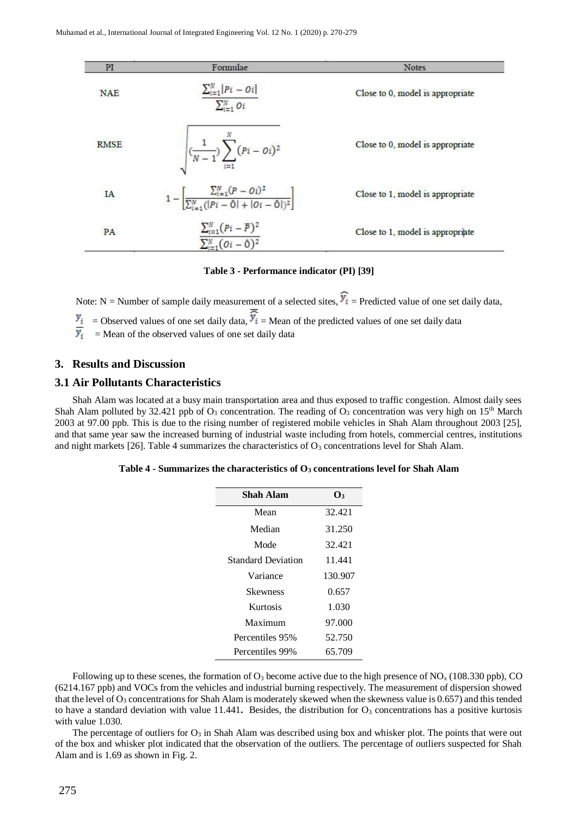| PI          | Formulae                                                                                                  | <b>Notes</b>                     |
|-------------|-----------------------------------------------------------------------------------------------------------|----------------------------------|
| <b>NAE</b>  | $\sum_{i=1}^{N}  Pi - Oi $<br>$\sum_{i=1}^{N} O_i$                                                        | Close to 0, model is appropriate |
| <b>RMSE</b> | $\sqrt{(\frac{1}{N-1})\sum_{i=1}^{N}(Pi-oi)^2}$                                                           | Close to 0, model is appropriate |
| IA          | $1 - \left[ \frac{\sum_{i=1}^{N} (P - Oi)^2}{\sum_{i=1}^{N} ( Pi - \bar{O}  +  Oi - \bar{O} )^2} \right]$ | Close to 1, model is appropriate |
| <b>PA</b>   | $\sum_{i=1}^{N} (Pi - \overline{P})^2$<br>$\overline{\sum_{i=1}^N (\mathcal{O}i-\overline{0})^2}$         | Close to 1, model is appropriate |

### **Table 3 - Performance indicator (PI) [39]**

Note: N = Number of sample daily measurement of a selected sites,  $\hat{Y}_i$  = Predicted value of one set daily data, = Observed values of one set daily data,  $\vec{v}$  i = Mean of the predicted values of one set daily data = Mean of the observed values of one set daily data

### **3. Results and Discussion**

### **3.1 Air Pollutants Characteristics**

Shah Alam was located at a busy main transportation area and thus exposed to traffic congestion. Almost daily sees Shah Alam polluted by 32.421 ppb of  $O_3$  concentration. The reading of  $O_3$  concentration was very high on 15<sup>th</sup> March 2003 at 97.00 ppb. This is due to the rising number of registered mobile vehicles in Shah Alam throughout 2003 [25], and that same year saw the increased burning of industrial waste including from hotels, commercial centres, institutions and night markets [26]. Table 4 summarizes the characteristics of  $O<sub>3</sub>$  concentrations level for Shah Alam.

| Shah Alam                 | $\mathbf{O}_3$ |
|---------------------------|----------------|
| Mean                      | 32.421         |
| Median                    | 31.250         |
| Mode                      | 32.421         |
| <b>Standard Deviation</b> | 11.441         |
| Variance                  | 130.907        |
| Skewness                  | 0.657          |
| Kurtosis                  | 1.030          |
| Maximum                   | 97.000         |
| Percentiles 95%           | 52.750         |
| Percentiles 99%           | 65.709         |

Following up to these scenes, the formation of  $O_3$  become active due to the high presence of  $NO<sub>x</sub>$  (108.330 ppb), CO (6214.167 ppb) and VOCs from the vehicles and industrial burning respectively. The measurement of dispersion showed that the level of  $O_3$  concentrations for Shah Alam is moderately skewed when the skewness value is 0.657) and this tended to have a standard deviation with value 11.441. Besides, the distribution for  $O_3$  concentrations has a positive kurtosis with value 1.030.

The percentage of outliers for  $O_3$  in Shah Alam was described using box and whisker plot. The points that were out of the box and whisker plot indicated that the observation of the outliers. The percentage of outliers suspected for Shah Alam and is 1.69 as shown in Fig. 2.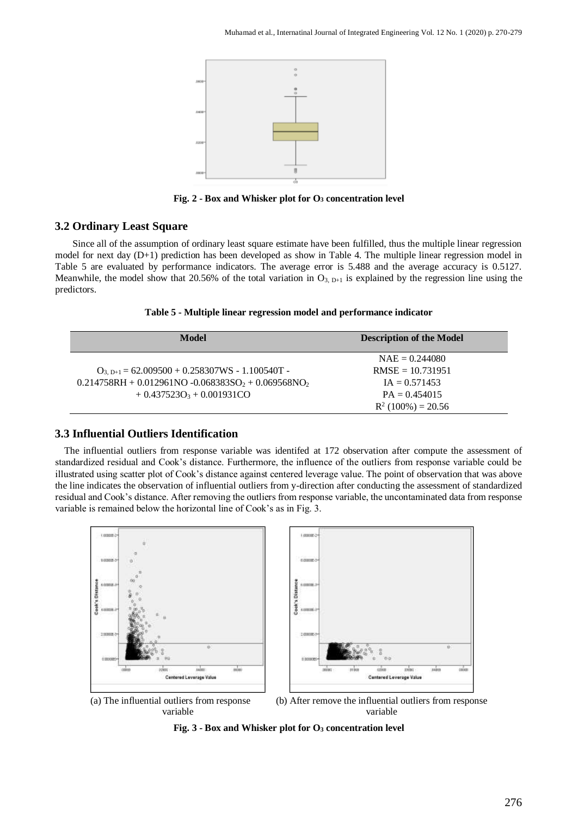

**Fig. 2 - Box and Whisker plot for O<sup>3</sup> concentration level**

### **3.2 Ordinary Least Square**

Since all of the assumption of ordinary least square estimate have been fulfilled, thus the multiple linear regression model for next day (D+1) prediction has been developed as show in Table 4. The multiple linear regression model in Table 5 are evaluated by performance indicators. The average error is 5.488 and the average accuracy is 0.5127. Meanwhile, the model show that 20.56% of the total variation in  $O_{3, D+1}$  is explained by the regression line using the predictors.

|  |  | Table 5 - Multiple linear regression model and performance indicator |
|--|--|----------------------------------------------------------------------|
|  |  |                                                                      |

| Model                                                   | <b>Description of the Model</b> |
|---------------------------------------------------------|---------------------------------|
|                                                         | $NAE = 0.244080$                |
| $O_{3. D+1} = 62.009500 + 0.258307WS - 1.100540T -$     | $RMSE = 10.731951$              |
| $0.214758RH + 0.012961NO - 0.068383SO_2 + 0.069568NO_2$ | $IA = 0.571453$                 |
| $+0.437523O_3 + 0.001931CO$                             | $PA = 0.454015$                 |
|                                                         | $R^2(100\%) = 20.56$            |

### **3.3 Influential Outliers Identification**

The influential outliers from response variable was identifed at 172 observation after compute the assessment of standardized residual and Cook's distance. Furthermore, the influence of the outliers from response variable could be illustrated using scatter plot of Cook's distance against centered leverage value. The point of observation that was above the line indicates the observation of influential outliers from y-direction after conducting the assessment of standardized residual and Cook's distance. After removing the outliers from response variable, the uncontaminated data from response variable is remained below the horizontal line of Cook's as in Fig. 3.



(a) The influential outliers from response variable

(b) After remove the influential outliers from response variable

**Fig. 3 - Box and Whisker plot for O<sup>3</sup> concentration level**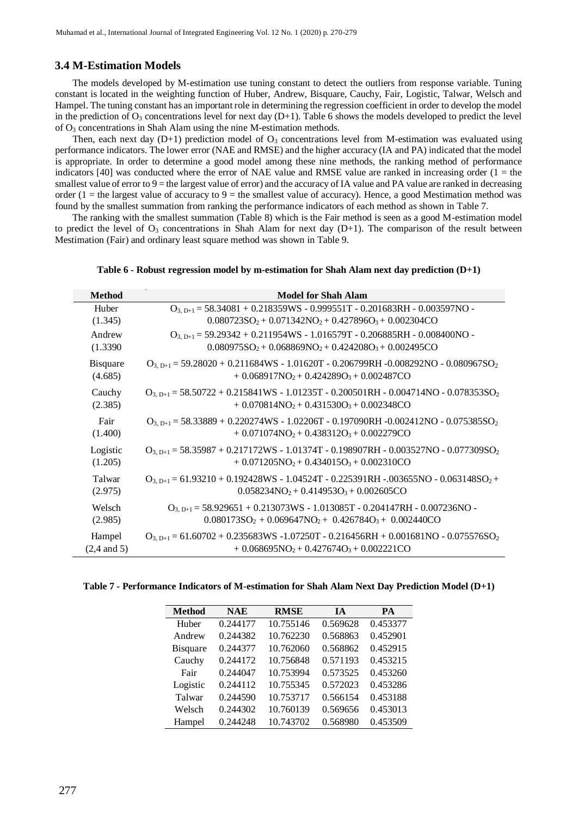### **3.4 M-Estimation Models**

The models developed by M-estimation use tuning constant to detect the outliers from response variable. Tuning constant is located in the weighting function of Huber, Andrew, Bisquare, Cauchy, Fair, Logistic, Talwar, Welsch and Hampel. The tuning constant has an important role in determining the regression coefficient in order to develop the model in the prediction of  $O_3$  concentrations level for next day  $(D+1)$ . Table 6 shows the models developed to predict the level of O<sup>3</sup> concentrations in Shah Alam using the nine M-estimation methods.

Then, each next day  $(D+1)$  prediction model of  $O<sub>3</sub>$  concentrations level from M-estimation was evaluated using performance indicators. The lower error (NAE and RMSE) and the higher accuracy (IA and PA) indicated that the model is appropriate. In order to determine a good model among these nine methods, the ranking method of performance indicators [40] was conducted where the error of NAE value and RMSE value are ranked in increasing order  $(1 =$  the smallest value of error to  $9 =$  the largest value of error) and the accuracy of IA value and PA value are ranked in decreasing order (1 = the largest value of accuracy to 9 = the smallest value of accuracy). Hence, a good Mestimation method was found by the smallest summation from ranking the performance indicators of each method as shown in Table 7.

The ranking with the smallest summation (Table 8) which is the Fair method is seen as a good M-estimation model to predict the level of  $O_3$  concentrations in Shah Alam for next day  $(D+1)$ . The comparison of the result between Mestimation (Fair) and ordinary least square method was shown in Table 9.

| Table 6 - Robust regression model by m-estimation for Shah Alam next day prediction (D+1) |  |  |  |  |
|-------------------------------------------------------------------------------------------|--|--|--|--|
|                                                                                           |  |  |  |  |

| <b>Method</b>          | <b>Model for Shah Alam</b>                                                                          |
|------------------------|-----------------------------------------------------------------------------------------------------|
| Huber                  | $O_{3, D+1} = 58.34081 + 0.218359WS - 0.999551T - 0.201683RH - 0.003597NO -$                        |
| (1.345)                | $0.080723SO_2 + 0.071342NO_2 + 0.427896O_3 + 0.002304CO$                                            |
| Andrew                 | $O_{3, D+1} = 59.29342 + 0.211954WS - 1.016579T - 0.206885RH - 0.008400NO -$                        |
| (1.3390)               | $0.080975SO_2 + 0.068869NO_2 + 0.424208O_3 + 0.002495CO$                                            |
| <b>Bisquare</b>        | $O_{3, D+1} = 59.28020 + 0.211684WS - 1.01620T - 0.206799RH - 0.008292NO - 0.080967SO_2$            |
| (4.685)                | $+0.068917NO_2 + 0.424289O_3 + 0.002487CO$                                                          |
| Cauchy                 | $O_{3, D+1} = 58.50722 + 0.215841WS - 1.01235T - 0.200501RH - 0.004714NO - 0.078353SO_2$            |
| (2.385)                | $+0.070814NO_2 + 0.431530O_3 + 0.002348CO$                                                          |
| Fair                   | $O_{3. D+1}$ = 58.33889 + 0.220274WS - 1.02206T - 0.197090RH -0.002412NO - 0.075385SO <sub>2</sub>  |
| (1.400)                | $+0.071074NO_2 + 0.438312O_3 + 0.002279CO$                                                          |
| Logistic               | $O_{3. p+1}$ = 58.35987 + 0.217172WS - 1.01374T - 0.198907RH - 0.003527NO - 0.077309SO <sub>2</sub> |
| (1.205)                | $+0.071205NO2+0.434015O3+0.002310CO$                                                                |
| Talwar                 | $O_{3. p+1} = 61.93210 + 0.192428WS - 1.04524T - 0.225391RH - 0.03655NO - 0.063148SO_2 +$           |
| (2.975)                | $0.058234NO_2 + 0.414953O_3 + 0.002605CO$                                                           |
| Welsch                 | $O_{3, D+1} = 58.929651 + 0.213073WS - 1.013085T - 0.204147RH - 0.007236NO -$                       |
| (2.985)                | $0.080173SO_2 + 0.069647NO_2 + 0.426784O_3 + 0.002440CO$                                            |
| Hampel                 | $O_{3. p+1} = 61.60702 + 0.235683WS - 1.07250T - 0.216456RH + 0.001681NO - 0.075576SO_2$            |
| $(2,4 \text{ and } 5)$ | $+0.068695NO_2 + 0.427674O_3 + 0.002221CO$                                                          |

**Table 7 - Performance Indicators of M-estimation for Shah Alam Next Day Prediction Model (D+1)** 

| <b>Method</b>   | <b>NAE</b> | <b>RMSE</b> | <b>IA</b> | <b>PA</b> |
|-----------------|------------|-------------|-----------|-----------|
| Huber           | 0.244177   | 10.755146   | 0.569628  | 0.453377  |
| Andrew          | 0.244382   | 10.762230   | 0.568863  | 0.452901  |
| <b>Bisquare</b> | 0.244377   | 10.762060   | 0.568862  | 0.452915  |
| Cauchy          | 0.244172   | 10.756848   | 0.571193  | 0.453215  |
| Fair            | 0.244047   | 10.753994   | 0.573525  | 0.453260  |
| Logistic        | 0.244112   | 10.755345   | 0.572023  | 0.453286  |
| Talwar          | 0.244590   | 10.753717   | 0.566154  | 0.453188  |
| Welsch          | 0.244302   | 10.760139   | 0.569656  | 0.453013  |
| Hampel          | 0.244248   | 10.743702   | 0.568980  | 0.453509  |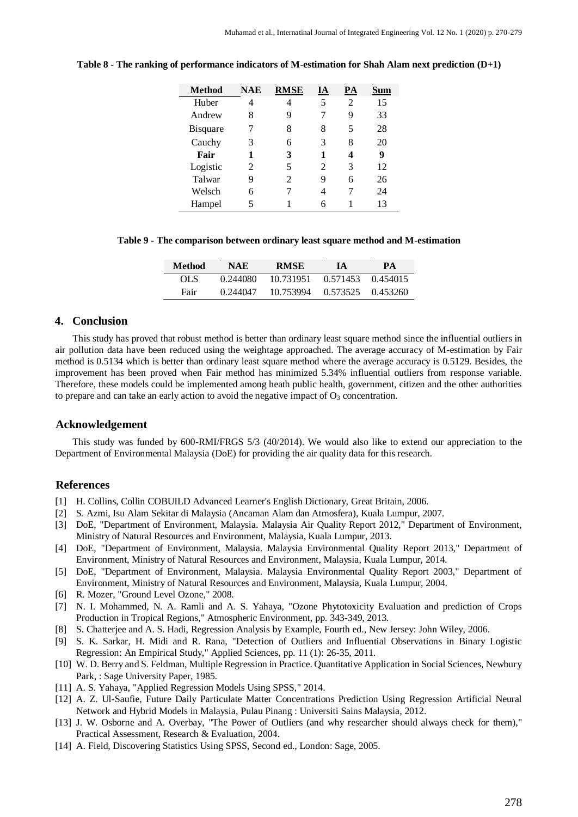| Method          | <b>NAE</b> | <b>RMSE</b> | ĺΑ | PА |    |
|-----------------|------------|-------------|----|----|----|
| Huber           | 4          | 4           | 5  | 2  | 15 |
| Andrew          | 8          | 9           | 7  | 9  | 33 |
| <b>Bisquare</b> | 7          | 8           | 8  | 5  | 28 |
| Cauchy          | 3          | 6           | 3  | 8  | 20 |
| Fair            | 1          | 3           | 1  | 4  | 9  |
| Logistic        | 2          | 5           | 2  | 3  | 12 |
| Talwar          | 9          | 2           | 9  | 6  | 26 |
| Welsch          | 6          |             | 4  | 7  | 24 |
| Hampel          | 5          |             |    |    | 13 |

**Table 8 - The ranking of performance indicators of M-estimation for Shah Alam next prediction (D+1)**

**Table 9 - The comparison between ordinary least square method and M-estimation**

| Method | NAE      | RMSE      | 1A       | <b>PA</b> |
|--------|----------|-----------|----------|-----------|
| OL S   | 0.244080 | 10.731951 | 0.571453 | 0.454015  |
| Fair   | 0.244047 | 10.753994 | 0.573525 | 0.453260  |

### **4. Conclusion**

This study has proved that robust method is better than ordinary least square method since the influential outliers in air pollution data have been reduced using the weightage approached. The average accuracy of M-estimation by Fair method is 0.5134 which is better than ordinary least square method where the average accuracy is 0.5129. Besides, the improvement has been proved when Fair method has minimized 5.34% influential outliers from response variable. Therefore, these models could be implemented among heath public health, government, citizen and the other authorities to prepare and can take an early action to avoid the negative impact of  $O_3$  concentration.

### **Acknowledgement**

This study was funded by 600-RMI/FRGS 5/3 (40/2014). We would also like to extend our appreciation to the Department of Environmental Malaysia (DoE) for providing the air quality data for this research.

### **References**

- [1] H. Collins, Collin COBUILD Advanced Learner's English Dictionary, Great Britain, 2006.
- [2] S. Azmi, Isu Alam Sekitar di Malaysia (Ancaman Alam dan Atmosfera), Kuala Lumpur, 2007.
- [3] DoE, "Department of Environment, Malaysia. Malaysia Air Quality Report 2012," Department of Environment, Ministry of Natural Resources and Environment, Malaysia, Kuala Lumpur, 2013.
- [4] DoE, "Department of Environment, Malaysia. Malaysia Environmental Quality Report 2013," Department of Environment, Ministry of Natural Resources and Environment, Malaysia, Kuala Lumpur, 2014.
- [5] DoE, "Department of Environment, Malaysia. Malaysia Environmental Quality Report 2003," Department of Environment, Ministry of Natural Resources and Environment, Malaysia, Kuala Lumpur, 2004.
- [6] R. Mozer, "Ground Level Ozone," 2008.
- [7] N. I. Mohammed, N. A. Ramli and A. S. Yahaya, "Ozone Phytotoxicity Evaluation and prediction of Crops Production in Tropical Regions," Atmospheric Environment, pp. 343-349, 2013.
- [8] S. Chatterjee and A. S. Hadi, Regression Analysis by Example, Fourth ed., New Jersey: John Wiley, 2006.
- [9] S. K. Sarkar, H. Midi and R. Rana, "Detection of Outliers and Influential Observations in Binary Logistic Regression: An Empirical Study," Applied Sciences, pp. 11 (1): 26-35, 2011.
- [10] W. D. Berry and S. Feldman, Multiple Regression in Practice. Quantitative Application in Social Sciences, Newbury Park, : Sage University Paper, 1985.
- [11] A. S. Yahaya, "Applied Regression Models Using SPSS," 2014.
- [12] A. Z. Ul-Saufie, Future Daily Particulate Matter Concentrations Prediction Using Regression Artificial Neural Network and Hybrid Models in Malaysia, Pulau Pinang : Universiti Sains Malaysia, 2012.
- [13] J. W. Osborne and A. Overbay, "The Power of Outliers (and why researcher should always check for them)," Practical Assessment, Research & Evaluation, 2004.
- [14] A. Field, Discovering Statistics Using SPSS, Second ed., London: Sage, 2005.